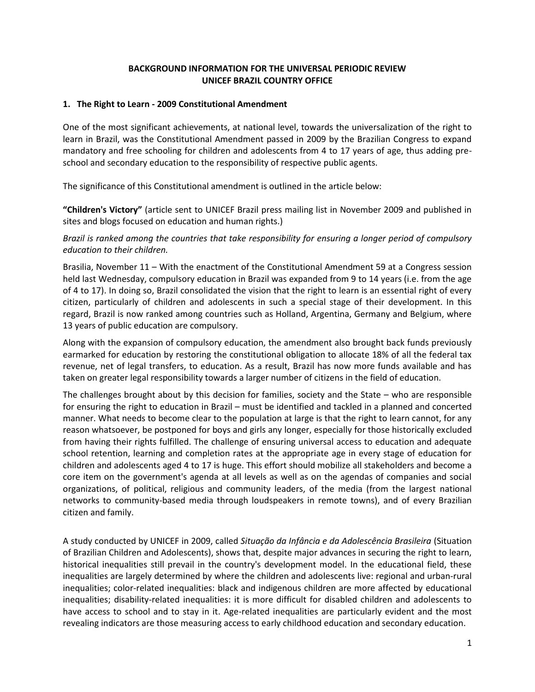## **BACKGROUND INFORMATION FOR THE UNIVERSAL PERIODIC REVIEW UNICEF BRAZIL COUNTRY OFFICE**

#### **1. The Right to Learn - 2009 Constitutional Amendment**

One of the most significant achievements, at national level, towards the universalization of the right to learn in Brazil, was the Constitutional Amendment passed in 2009 by the Brazilian Congress to expand mandatory and free schooling for children and adolescents from 4 to 17 years of age, thus adding preschool and secondary education to the responsibility of respective public agents.

The significance of this Constitutional amendment is outlined in the article below:

**"Children's Victory"** (article sent to UNICEF Brazil press mailing list in November 2009 and published in sites and blogs focused on education and human rights.)

### *Brazil is ranked among the countries that take responsibility for ensuring a longer period of compulsory education to their children.*

Brasilia, November 11 – With the enactment of the Constitutional Amendment 59 at a Congress session held last Wednesday, compulsory education in Brazil was expanded from 9 to 14 years (i.e. from the age of 4 to 17). In doing so, Brazil consolidated the vision that the right to learn is an essential right of every citizen, particularly of children and adolescents in such a special stage of their development. In this regard, Brazil is now ranked among countries such as Holland, Argentina, Germany and Belgium, where 13 years of public education are compulsory.

Along with the expansion of compulsory education, the amendment also brought back funds previously earmarked for education by restoring the constitutional obligation to allocate 18% of all the federal tax revenue, net of legal transfers, to education. As a result, Brazil has now more funds available and has taken on greater legal responsibility towards a larger number of citizens in the field of education.

The challenges brought about by this decision for families, society and the State – who are responsible for ensuring the right to education in Brazil – must be identified and tackled in a planned and concerted manner. What needs to become clear to the population at large is that the right to learn cannot, for any reason whatsoever, be postponed for boys and girls any longer, especially for those historically excluded from having their rights fulfilled. The challenge of ensuring universal access to education and adequate school retention, learning and completion rates at the appropriate age in every stage of education for children and adolescents aged 4 to 17 is huge. This effort should mobilize all stakeholders and become a core item on the government's agenda at all levels as well as on the agendas of companies and social organizations, of political, religious and community leaders, of the media (from the largest national networks to community-based media through loudspeakers in remote towns), and of every Brazilian citizen and family.

A study conducted by UNICEF in 2009, called *Situação da Infância e da Adolescência Brasileira* (Situation of Brazilian Children and Adolescents), shows that, despite major advances in securing the right to learn, historical inequalities still prevail in the country's development model. In the educational field, these inequalities are largely determined by where the children and adolescents live: regional and urban-rural inequalities; color-related inequalities: black and indigenous children are more affected by educational inequalities; disability-related inequalities: it is more difficult for disabled children and adolescents to have access to school and to stay in it. Age-related inequalities are particularly evident and the most revealing indicators are those measuring access to early childhood education and secondary education.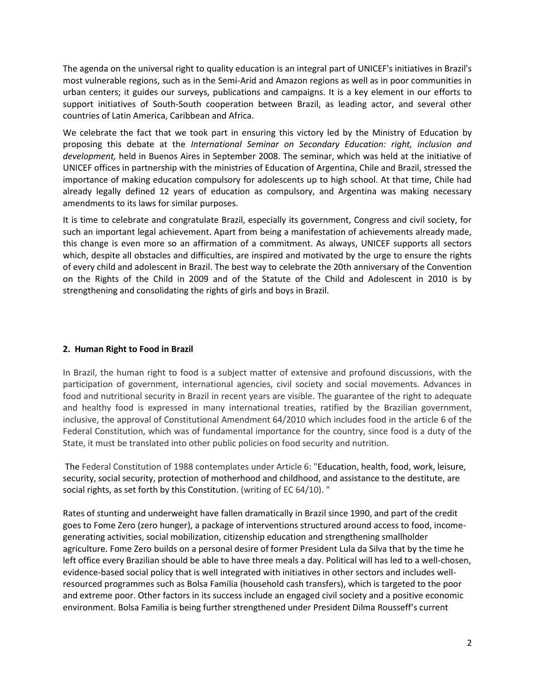The agenda on the universal right to quality education is an integral part of UNICEF's initiatives in Brazil's most vulnerable regions, such as in the Semi-Arid and Amazon regions as well as in poor communities in urban centers; it guides our surveys, publications and campaigns. It is a key element in our efforts to support initiatives of South-South cooperation between Brazil, as leading actor, and several other countries of Latin America, Caribbean and Africa.

We celebrate the fact that we took part in ensuring this victory led by the Ministry of Education by proposing this debate at the *International Seminar on Secondary Education: right, inclusion and development,* held in Buenos Aires in September 2008. The seminar, which was held at the initiative of UNICEF offices in partnership with the ministries of Education of Argentina, Chile and Brazil, stressed the importance of making education compulsory for adolescents up to high school. At that time, Chile had already legally defined 12 years of education as compulsory, and Argentina was making necessary amendments to its laws for similar purposes.

It is time to celebrate and congratulate Brazil, especially its government, Congress and civil society, for such an important legal achievement. Apart from being a manifestation of achievements already made, this change is even more so an affirmation of a commitment. As always, UNICEF supports all sectors which, despite all obstacles and difficulties, are inspired and motivated by the urge to ensure the rights of every child and adolescent in Brazil. The best way to celebrate the 20th anniversary of the Convention on the Rights of the Child in 2009 and of the Statute of the Child and Adolescent in 2010 is by strengthening and consolidating the rights of girls and boys in Brazil.

### **2. Human Right to Food in Brazil**

In Brazil, the human right to food is a subject matter of extensive and profound discussions, with the participation of government, international agencies, civil society and social movements. Advances in food and nutritional security in Brazil in recent years are visible. The guarantee of the right to adequate and healthy food is expressed in many international treaties, ratified by the Brazilian government, inclusive, the approval of Constitutional Amendment 64/2010 which includes food in the article 6 of the Federal Constitution, which was of fundamental importance for the country, since food is a duty of the State, it must be translated into other public policies on food security and nutrition.

The Federal Constitution of 1988 contemplates under Article 6: "Education, health, food, work, leisure, security, social security, protection of motherhood and childhood, and assistance to the destitute, are social rights, as set forth by this Constitution. (writing of EC 64/10). "

Rates of stunting and underweight have fallen dramatically in Brazil since 1990, and part of the credit goes to Fome Zero (zero hunger), a package of interventions structured around access to food, incomegenerating activities, social mobilization, citizenship education and strengthening smallholder agriculture. Fome Zero builds on a personal desire of former President Lula da Silva that by the time he left office every Brazilian should be able to have three meals a day. Political will has led to a well-chosen, evidence-based social policy that is well integrated with initiatives in other sectors and includes wellresourced programmes such as Bolsa Familia (household cash transfers), which is targeted to the poor and extreme poor. Other factors in its success include an engaged civil society and a positive economic environment. Bolsa Familia is being further strengthened under President Dilma Rousseff's current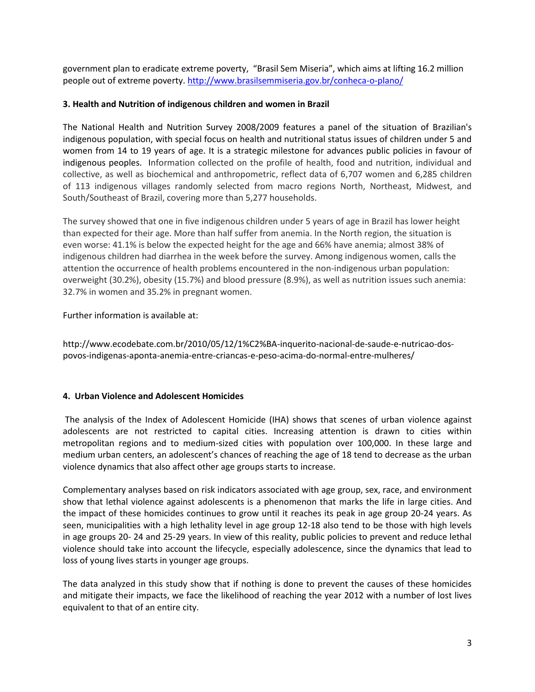government plan to eradicate extreme poverty, "Brasil Sem Miseria", which aims at lifting 16.2 million people out of extreme poverty[. http://www.brasilsemmiseria.gov.br/conheca-o-plano/](http://www.brasilsemmiseria.gov.br/conheca-o-plano/)

### **3. Health and Nutrition of indigenous children and women in Brazil**

The National Health and Nutrition Survey 2008/2009 features a panel of the situation of Brazilian's indigenous population, with special focus on health and nutritional status issues of children under 5 and women from 14 to 19 years of age. It is a strategic milestone for advances public policies in favour of indigenous peoples. Information collected on the profile of health, food and nutrition, individual and collective, as well as biochemical and anthropometric, reflect data of 6,707 women and 6,285 children of 113 indigenous villages randomly selected from macro regions North, Northeast, Midwest, and South/Southeast of Brazil, covering more than 5,277 households.

The survey showed that one in five indigenous children under 5 years of age in Brazil has lower height than expected for their age. More than half suffer from anemia. In the North region, the situation is even worse: 41.1% is below the expected height for the age and 66% have anemia; almost 38% of indigenous children had diarrhea in the week before the survey. Among indigenous women, calls the attention the occurrence of health problems encountered in the non-indigenous urban population: overweight (30.2%), obesity (15.7%) and blood pressure (8.9%), as well as nutrition issues such anemia: 32.7% in women and 35.2% in pregnant women.

Further information is available at:

http://www.ecodebate.com.br/2010/05/12/1%C2%BA-inquerito-nacional-de-saude-e-nutricao-dospovos-indigenas-aponta-anemia-entre-criancas-e-peso-acima-do-normal-entre-mulheres/

# **4. Urban Violence and Adolescent Homicides**

The analysis of the Index of Adolescent Homicide (IHA) shows that scenes of urban violence against adolescents are not restricted to capital cities. Increasing attention is drawn to cities within metropolitan regions and to medium-sized cities with population over 100,000. In these large and medium urban centers, an adolescent's chances of reaching the age of 18 tend to decrease as the urban violence dynamics that also affect other age groups starts to increase.

Complementary analyses based on risk indicators associated with age group, sex, race, and environment show that lethal violence against adolescents is a phenomenon that marks the life in large cities. And the impact of these homicides continues to grow until it reaches its peak in age group 20-24 years. As seen, municipalities with a high lethality level in age group 12-18 also tend to be those with high levels in age groups 20- 24 and 25-29 years. In view of this reality, public policies to prevent and reduce lethal violence should take into account the lifecycle, especially adolescence, since the dynamics that lead to loss of young lives starts in younger age groups.

The data analyzed in this study show that if nothing is done to prevent the causes of these homicides and mitigate their impacts, we face the likelihood of reaching the year 2012 with a number of lost lives equivalent to that of an entire city.